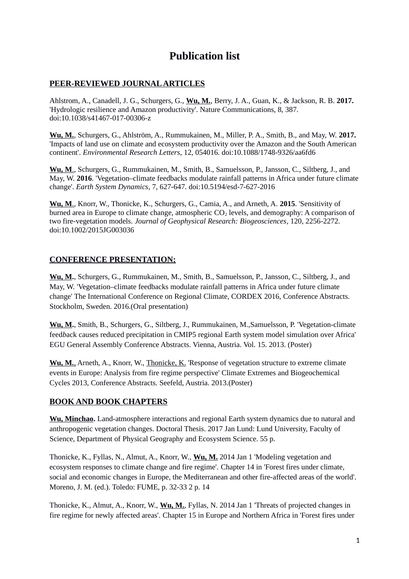## **Publication list**

## **PEER-REVIEWED JOURNAL ARTICLES**

Ahlstrom, A., Canadell, J. G., Schurgers, G., **Wu, M.**, Berry, J. A., Guan, K., & Jackson, R. B. **2017.** 'Hydrologic resilience and Amazon productivity'. Nature Communications, 8, 387. doi:10.1038/s41467-017-00306-z

**Wu, M.**, Schurgers, G., Ahlström, A., Rummukainen, M., Miller, P. A., Smith, B., and May, W. **2017.** 'Impacts of land use on climate and ecosystem productivity over the Amazon and the South American continent'. *Environmental Research Letters*, 12, 054016. doi:10.1088/1748-9326/aa6fd6

 **Wu, M**., Schurgers, G., Rummukainen, M., Smith, B., Samuelsson, P., Jansson, C., Siltberg, J., and May, W. **2016**. 'Vegetation–climate feedbacks modulate rainfall patterns in Africa under future climate change'. *Earth System Dynamics*, 7, 627-647. doi:10.5194/esd-7-627-2016

 **Wu, M**., Knorr, W., Thonicke, K., Schurgers, G., Camia, A., and Arneth, A. **2015**. 'Sensitivity of burned area in Europe to climate change, atmospheric  $CO<sub>2</sub>$  levels, and demography: A comparison of two fire-vegetation models. *Journal of Geophysical Research: Biogeosciences*, 120, 2256-2272. doi:10.1002/2015JG003036

## **CONFERENCE PRESENTATION:**

**Wu, M.**, Schurgers, G., Rummukainen, M., Smith, B., Samuelsson, P., Jansson, C., Siltberg, J., and May, W. 'Vegetation–climate feedbacks modulate rainfall patterns in Africa under future climate change' The International Conference on Regional Climate, CORDEX 2016, Conference Abstracts. Stockholm, Sweden. 2016.(Oral presentation)

**Wu, M.**, Smith, B., Schurgers, G., Siltberg, J., Rummukainen, M.,Samuelsson, P. 'Vegetation-climate feed*b*ack causes reduced precipitation in CMIP5 regional Earth system model simulation over Africa' EGU General Assembly Conference Abstracts. Vienna, Austria. Vol. 15. 2013. (Poster)

 **Wu, M.**, Arneth, A., Knorr, W., Thonicke, K. 'Response of vegetation structure to extreme climate events in Europe: Analysis from fire regime perspective' Climate Extremes and Biogeochemical Cycles 2013, Conference Abstracts. Seefeld, Austria. 2013.(Poster)

## **BOOK AND BOOK CHAPTERS**

**Wu, Minchao.** Land-atmosphere interactions and regional Earth system dynamics due to natural and anthropogenic vegetation changes. Doctoral Thesis. 2017 Jan Lund: Lund University, Faculty of Science, Department of Physical Geography and Ecosystem Science. 55 p.

Thonicke, K., Fyllas, N., Almut, A., Knorr, W., **Wu, M.** 2014 Jan 1 'Modeling vegetation and ecosystem responses to climate change and fire regime'. Chapter 14 in 'Forest fires under climate, social and economic changes in Europe, the Mediterranean and other fire-affected areas of the world'. Moreno, J. M. (ed.). Toledo: FUME, p. 32-33 2 p. 14

Thonicke, K., Almut, A., Knorr, W., **Wu, M.**, Fyllas, N. 2014 Jan 1 'Threats of projected changes in fire regime for newly affected areas'. Chapter 15 in Europe and Northern Africa in 'Forest fires under